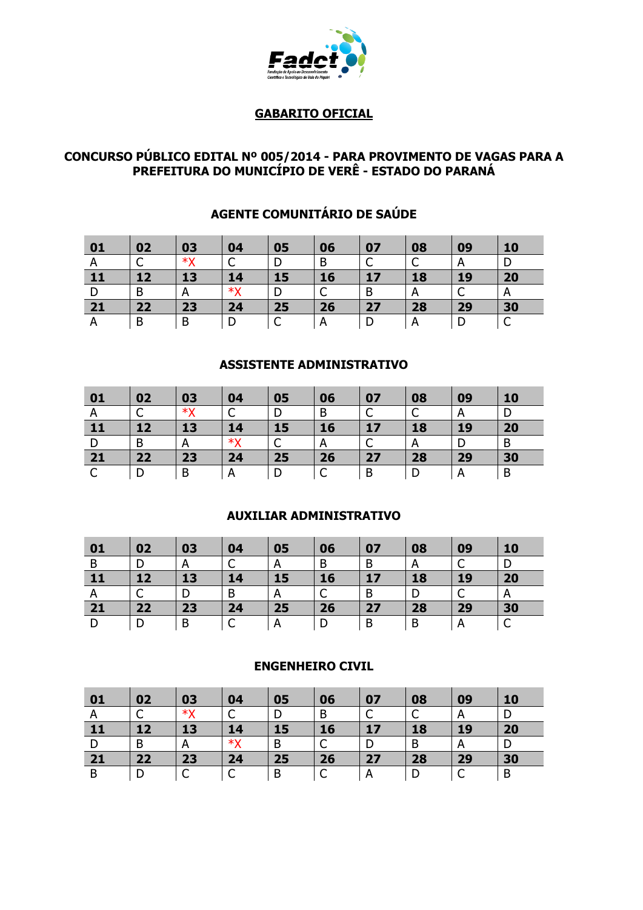

### **GABARITO OFICIAL**

### **CONCURSO PÚBLICO EDITAL Nº 005/2014 - PARA PROVIMENTO DE VAGAS PARA A PREFEITURA DO MUNICÍPIO DE VERÊ - ESTADO DO PARANÁ**

| 01           | 02 | 03    | 04    | 05 | 06 | 07 | 08 | 09 | 10 |
|--------------|----|-------|-------|----|----|----|----|----|----|
| n            | ∼  | $*$ X |       |    | B  |    |    | A  |    |
| <u>11</u>    | 12 | 13    | 14    | 15 | 16 | 17 | 18 | 19 | 20 |
|              | B  | А     | $*$ X |    |    | B  | A  | ุ  | A  |
| 21           | 22 | 23    | 24    | 25 | 26 | 27 | 28 | 29 | 30 |
| $\mathsf{H}$ | B  | B     |       |    | A  | D  | A  |    |    |

## **AGENTE COMUNITÁRIO DE SAÚDE**

### **ASSISTENTE ADMINISTRATIVO**

| 01 | 02 | 03 | 04    | 05 | 06 | 07 | 08 | 09                | 10 |
|----|----|----|-------|----|----|----|----|-------------------|----|
|    |    | ∗۷ |       | D  | B  |    |    | A                 |    |
| 11 | 12 | 13 | 14    | 15 | 16 | 17 | 18 | 19                | 20 |
| D  | B  | А  | $*$ X |    | A  |    | A  |                   | B  |
| 21 | 22 | 23 | 24    | 25 | 26 | 27 | 28 | 29                | 30 |
|    |    | B  |       |    |    | B  |    | $\mathbf{\Gamma}$ | B  |

### **AUXILIAR ADMINISTRATIVO**

| 01 | 02 | 03 | 04 | 05 | 06 | 07 | 08 | 09 | 10 |
|----|----|----|----|----|----|----|----|----|----|
| B  |    | А  | ֊  | A  | B  | B  | A  |    |    |
| 11 | 12 | 13 | 14 | 15 | 16 | 17 | 18 | 19 | 20 |
| A  |    | D  | B  | A  |    | B  |    |    |    |
| 21 | 22 | 23 | 24 | 25 | 26 | 27 | 28 | 29 | 30 |
| D  |    | B  |    |    |    | B  | B  |    | ֊  |

#### **ENGENHEIRO CIVIL**

| 01           | 02     | 03               | 04  | 05 | 06 | 07     | 08 | 09 | 10 |
|--------------|--------|------------------|-----|----|----|--------|----|----|----|
| $\mathsf{H}$ | ∽<br>◡ | $*_{\mathsf{X}}$ |     |    | B  | ⌒<br>◡ |    | A  |    |
| 11           | 12     | 13               | 14  | 15 | 16 | 17     | 18 | 19 | 20 |
| D            | B      | А                | $*$ | B  |    | D      | B  | n  |    |
| 21           | 22     | 23               | 24  | 25 | 26 | 27     | 28 | 29 | 30 |
|              |        | ⌒                |     | B  |    | A      |    |    | B  |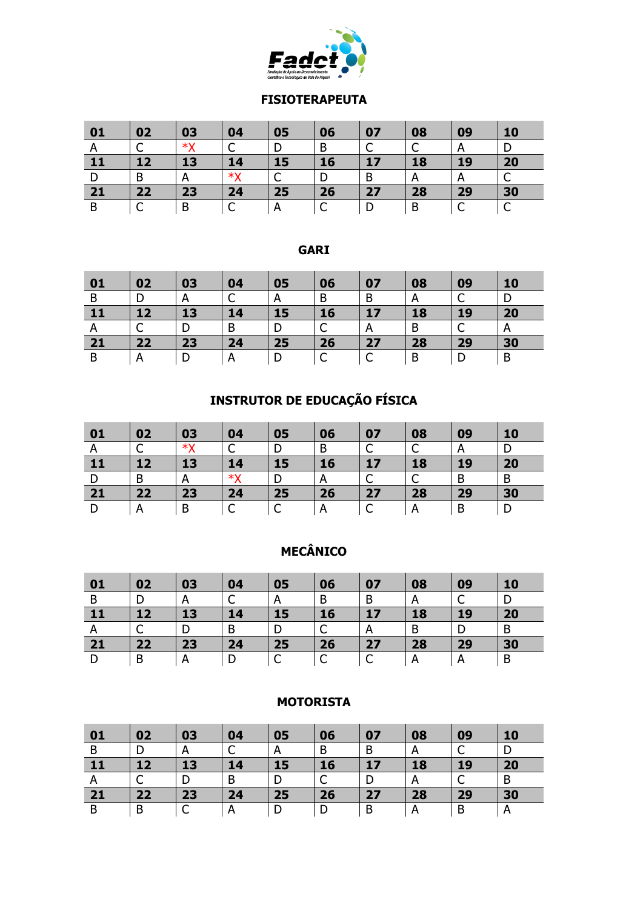

### **FISIOTERAPEUTA**

| 01 | 02 | 03         | 04    | 05 | 06                       | 07 | 08 | 09 | 10 |
|----|----|------------|-------|----|--------------------------|----|----|----|----|
| A  |    | $*{\sf X}$ |       |    | B                        | ັ  | ֊  | A  |    |
| 11 | 12 | 13         | 14    | 15 | 16                       | 17 | 18 | 19 | 20 |
|    | B  | A          | $*$ X | ັ  |                          | B  | A  | A  |    |
| 21 | 22 | 23         | 24    | 25 | 26                       | 27 | 28 | 29 | 30 |
| B  |    | B          |       |    | $\overline{\phantom{0}}$ | D  | B  |    |    |

## **GARI**

| 01 | 02 | 03 | 04 | 05 | 06 | 07 | 08 | 09 | 10 |
|----|----|----|----|----|----|----|----|----|----|
| B  |    | А  |    | A  | B  | B  | A  |    |    |
| 11 | 12 | 13 | 14 | 15 | 16 | 17 | 18 | 19 | 20 |
|    |    | D  | B  | D  | ◡  | А  | B  | ∼  | A  |
| 21 | 22 | 23 | 24 | 25 | 26 | 27 | 28 | 29 | 30 |
| B  | A  | D  |    | D  |    |    | B  |    | B  |

# **INSTRUTOR DE EDUCAÇÃO FÍSICA**

| 01                    | 02           | 03  | 04    | 05 | 06 | 07 | 08     | 09 | 10 |
|-----------------------|--------------|-----|-------|----|----|----|--------|----|----|
| $\mathbf{\mathsf{m}}$ | ◡            | $*$ |       | D  | B  | ⌒  | ⌒<br>֊ | A  |    |
| ш                     | 12           | 13  | 14    | 15 | 16 | 17 | 18     | 19 | 20 |
| D                     | B            | А   | $*$ X |    | A  |    |        | B  | B  |
| 21                    | 22           | 23  | 24    | 25 | 26 | 27 | 28     | 29 | 30 |
|                       | $\mathsf{r}$ | B   |       |    | A  | ∽  |        | B  | D  |

## **MECÂNICO**

| $\overline{01}$ | 02 | 03 | 04 | 05                       | 06 | 07 | 08 | 09 | 10 |
|-----------------|----|----|----|--------------------------|----|----|----|----|----|
| B               | D  | A  | ັ  | А                        | B  | B  | A  |    | D  |
| 11              | 12 | 13 | 14 | 15                       | 16 | 17 | 18 | 19 | 20 |
| A               | ◡  | D  | B  |                          | ◡  | A  | B  | D  | B  |
| 21              | 22 | 23 | 24 | 25                       | 26 | 27 | 28 | 29 | 30 |
| D               | B  | A  |    | $\overline{\phantom{0}}$ | ◡  |    | A  | A  | B  |

#### **MOTORISTA**

| 01              | 02 | 03         | 04     | 05 | 06 | 07 | 08 | 09 | 10 |
|-----------------|----|------------|--------|----|----|----|----|----|----|
| B               | D  | A          | ⌒<br>◡ | A  | B  | B  | A  | ັ  |    |
| $\overline{11}$ | 12 | 13         | 14     | 15 | 16 | 17 | 18 | 19 | 20 |
| A               |    | D          | B      |    | ◡  | D  | A  |    | B  |
| 21              | 22 | 23         | 24     | 25 | 26 | 27 | 28 | 29 | 30 |
| B               | B  | $\sqrt{2}$ | A      |    |    | B  | A  | B  | A  |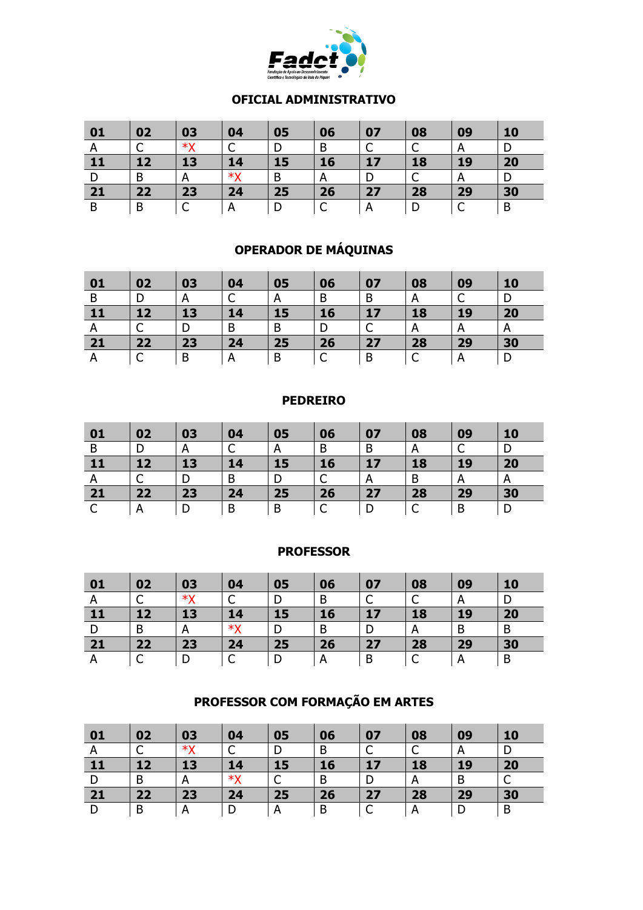

### **OFICIAL ADMINISTRATIVO**

| 01           | 02 | 03               | 04  | 05 | 06 | 07 | 08 | 09 | 10 |
|--------------|----|------------------|-----|----|----|----|----|----|----|
| $\mathsf{A}$ | ֊  | $*_{\mathsf{X}}$ |     |    | B  |    | ֊  | A  |    |
| $\bf{11}$    | 12 | 13               | 14  | 15 | 16 | 17 | 18 | 19 | 20 |
|              | B  | A                | $*$ | В  | A  | D  | ֊  | A  |    |
| 21           | 22 | 23               | 24  | 25 | 26 | 27 | 28 | 29 | 30 |
| B            | B  |                  | A   |    |    | A  |    |    | B  |

## **OPERADOR DE MÁQUINAS**

| 01                        | 02       | 03 | 04 | 05 | 06 | 07 | 08 | 09 | 10 |
|---------------------------|----------|----|----|----|----|----|----|----|----|
| B                         |          | Α  |    | А  | B  | B  | A  | ๛  | D  |
| 11                        | 12<br>-4 | 13 | 14 | 15 | 16 | 17 | 18 | 19 | 20 |
| $\boldsymbol{\mathsf{A}}$ |          | D  | B  | B  | D  | ⌒  | A  | A  | A  |
| 21                        | 22       | 23 | 24 | 25 | 26 | 27 | 28 | 29 | 30 |
|                           |          | B  | А  | B  | ⌒  | B  | ⌒  | A  | D  |

### **PEDREIRO**

| 01         | 02 | 03 | 04 | 05 | 06 | 07 | 08 | 09 | 10 |
|------------|----|----|----|----|----|----|----|----|----|
| B          |    | А  |    | А  | B  | B  | A  | ๛  | D  |
| 11         | 12 | 13 | 14 | 15 | 16 | 17 | 18 | 19 | 20 |
| $\sqrt{ }$ | ◡  | D  | B  | D  |    | A  | B  | A  | А  |
| 21         | 22 | 23 | 24 | 25 | 26 | 27 | 28 | 29 | 30 |
|            | n. | D  | B  | B  |    | D  |    | B  | D  |

### **PROFESSOR**

| 01 | 02 | 03               | 04              | 05 | 06                    | 07 | 08 | 09 | 10 |
|----|----|------------------|-----------------|----|-----------------------|----|----|----|----|
| A  | ֊  | $*_{\mathsf{X}}$ | ◡               |    | B                     | ⌒  |    | A  |    |
| 11 | 12 | 13               | 14              | 15 | 16                    | 17 | 18 | 19 | 20 |
|    | B  | A                | $*{\mathsf{X}}$ |    | B                     | D  | A  | B  | B  |
| 21 | 22 | 23               | 24              | 25 | 26                    | 27 | 28 | 29 | 30 |
| Α  |    | D                |                 |    | $\mathbf{\mathsf{m}}$ | B  |    | A  | B  |

# **PROFESSOR COM FORMAÇÃO EM ARTES**

| 01 | 02 | 03  | 04    | 05 | 06 | 07 | 08 | 09 | 10 |
|----|----|-----|-------|----|----|----|----|----|----|
|    |    | $*$ |       | D  | B  |    |    | Α  |    |
| 11 | 12 | 13  | 14    | 15 | 16 | 17 | 18 | 19 | 20 |
| D  | B  | A   | $*$ X |    | B  | D  | A  | B  |    |
| 21 | 22 | 23  | 24    | 25 | 26 | 27 | 28 | 29 | 30 |
| D  | B  | А   |       |    | B  | ⌒  | A  | D  | B  |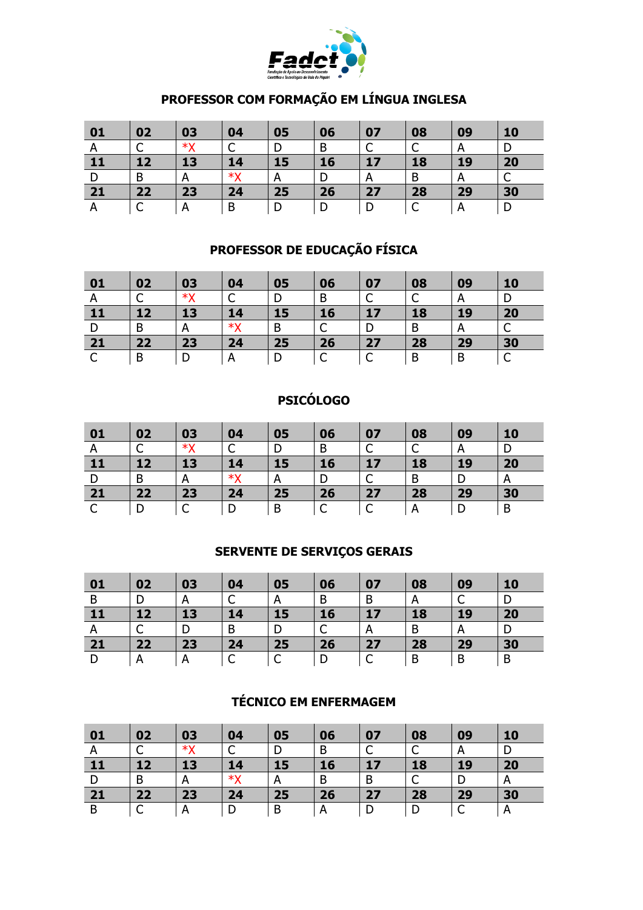

## **PROFESSOR COM FORMAÇÃO EM LÍNGUA INGLESA**

| 01            | 02 | 03 | 04 | 05 | 06 | 07 | 08 | 09           | 10 |
|---------------|----|----|----|----|----|----|----|--------------|----|
| А             |    | ∗v |    |    | B  | ⌒  |    | А            |    |
| $\mathbf{11}$ | 12 | 13 | 14 | 15 | 16 | 17 | 18 | 19           | 20 |
|               | B  | A  | *Х | А  |    | A  | B  | A            |    |
| 21            | 22 | 23 | 24 | 25 | 26 | 27 | 28 | 29           | 30 |
|               |    | A  | B  |    |    |    |    | $\mathsf{r}$ |    |

## **PROFESSOR DE EDUCAÇÃO FÍSICA**

| 01 | 02        | 03      | 04    | 05 | 06 | 07 | 08 | 09 | 10     |
|----|-----------|---------|-------|----|----|----|----|----|--------|
|    |           | *Y<br>↗ |       | D  | B  | ◡  |    | A  | D      |
|    | 12<br>- 4 | 13      | 14    | 15 | 16 | 17 | 18 | 19 | 20     |
|    | B         | A       | $*$ X | B  |    | D  | B  | A  | ◡      |
| 21 | 22        | 23      | 24    | 25 | 26 | 27 | 28 | 29 | 30     |
|    | B         | D       | А     | D  | ∽  | ֊  | B  | B  | ∽<br>֊ |

## **PSICÓLOGO**

| 01            | 02 | 03  | 04  | 05 | 06 | 07 | 08 | 09 | 10 |
|---------------|----|-----|-----|----|----|----|----|----|----|
| $\mathsf{H}$  |    | $*$ |     |    | B  |    |    | A  | D  |
| $\mathbf{11}$ | 12 | 13  | 14  | 15 | 16 | 17 | 18 | 19 | 20 |
|               | B  | A   | $*$ | n  |    |    | B  |    | A  |
| 21            | 22 | 23  | 24  | 25 | 26 | 27 | 28 | 29 | 30 |
|               |    |     |     | B  |    |    | A  |    | B  |

### **SERVENTE DE SERVIÇOS GERAIS**

| 01        | 02     | 03         | 04 | 05 | 06 | 07 | 08 | 09 | 10 |
|-----------|--------|------------|----|----|----|----|----|----|----|
| B         |        | А          |    | А  | B  | B  | А  | ๛  |    |
| <b>11</b> | 12     | 13         | 14 | 15 | 16 | 17 | 18 | 19 | 20 |
| A         | ∽<br>◡ | D          | B  |    |    | A  | B  | A  | D  |
| 21        | 22     | 23         | 24 | 25 | 26 | 27 | 28 | 29 | 30 |
|           | A      | $\sqrt{ }$ |    |    |    |    | B  | B  | B  |

## **TÉCNICO EM ENFERMAGEM**

| 01 | 02     | 03  | 04    | 05 | 06           | 07 | 08 | 09 | 10 |
|----|--------|-----|-------|----|--------------|----|----|----|----|
| А  | ⌒<br>◡ | $*$ |       |    | B            |    |    | A  |    |
| 11 | 12     | 13  | 14    | 15 | 16           | 17 | 18 | 19 | 20 |
| D  | B      | A   | $*$ X | A  | B            | B  | ֊  | D  | A  |
| 21 | 22     | 23  | 24    | 25 | 26           | 27 | 28 | 29 | 30 |
| B  | ∽      | A   | D     | B  | $\mathsf{A}$ | D  | D  |    | A  |